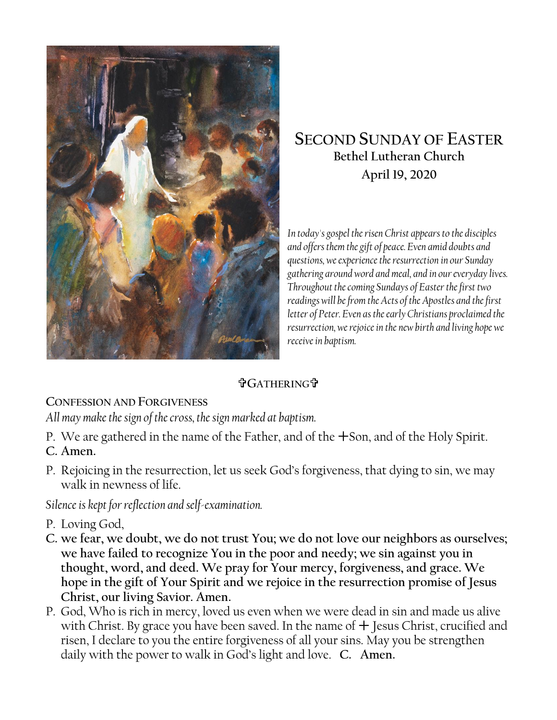

# **SECOND SUNDAY OF EASTER Bethel Lutheran Church April 19, 2020**

*In today's gospel the risen Christ appears to the disciples and offers them the gift of peace. Even amid doubts and questions, we experience the resurrection in our Sunday gathering around word and meal, and in our everyday lives. Throughout the coming Sundays of Easter the first two readings will be from the Acts of the Apostles and the first letter of Peter. Even as the early Christians proclaimed the resurrection, we rejoice in the new birth and living hope we receive in baptism.*

#### **GATHERING**

#### **CONFESSION AND FORGIVENESS**

*All may make the sign of the cross, the sign marked at baptism.*

P. We are gathered in the name of the Father, and of the Son, and of the Holy Spirit.

## **C. Amen.**

P. Rejoicing in the resurrection, let us seek God's forgiveness, that dying to sin, we may walk in newness of life.

*Silence is kept for reflection and self-examination.*

- P. Loving God,
- **C. we fear, we doubt, we do not trust You; we do not love our neighbors as ourselves; we have failed to recognize You in the poor and needy; we sin against you in thought, word, and deed. We pray for Your mercy, forgiveness, and grace. We hope in the gift of Your Spirit and we rejoice in the resurrection promise of Jesus Christ, our living Savior. Amen.**
- P. God, Who is rich in mercy, loved us even when we were dead in sin and made us alive with Christ. By grace you have been saved. In the name of  $+$  Jesus Christ, crucified and risen, I declare to you the entire forgiveness of all your sins. May you be strengthen daily with the power to walk in God's light and love. **C. Amen.**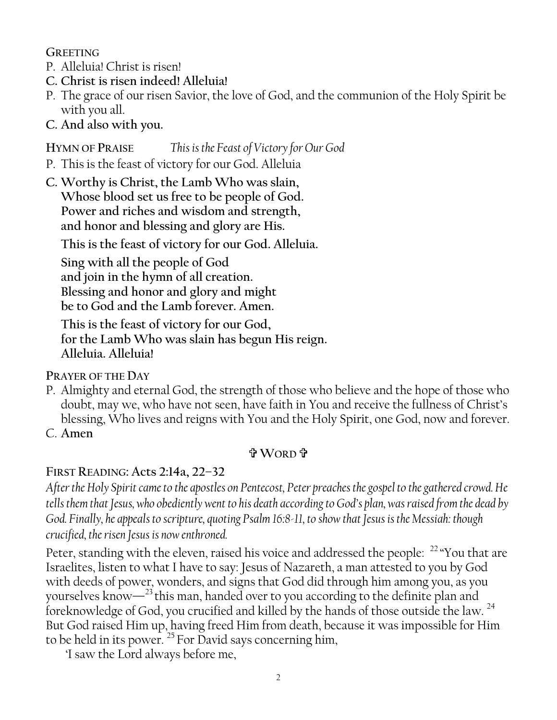**GREETING**

- P. Alleluia! Christ is risen!
- **C. Christ is risen indeed! Alleluia!**
- P. The grace of our risen Savior, the love of God, and the communion of the Holy Spirit be with you all.
- **C. And also with you.**

## **HYMN OF PRAISE** *This is the Feast of Victory for Our God*

P. This is the feast of victory for our God. Alleluia

**C. Worthy is Christ, the Lamb Who was slain, Whose blood set us free to be people of God. Power and riches and wisdom and strength, and honor and blessing and glory are His.**

**This is the feast of victory for our God. Alleluia.**

**Sing with all the people of God and join in the hymn of all creation. Blessing and honor and glory and might be to God and the Lamb forever. Amen.** 

**This is the feast of victory for our God, for the Lamb Who was slain has begun His reign. Alleluia. Alleluia!**

**PRAYER OF THE DAY**

- P. Almighty and eternal God, the strength of those who believe and the hope of those who doubt, may we, who have not seen, have faith in You and receive the fullness of Christ's blessing, Who lives and reigns with You and the Holy Spirit, one God, now and forever.
- C. **Amen**

## **WORD**

## **FIRST READING: Acts 2:14a, 22–32**

*After the Holy Spirit came to the apostles on Pentecost, Peter preaches the gospel to the gathered crowd. He tells them that Jesus, who obediently went to his death according to God's plan, was raised from the dead by God. Finally, he appeals to scripture, quoting Psalm 16:8-11, to show that Jesus is the Messiah: though crucified, the risen Jesus is now enthroned.*

Peter, standing with the eleven, raised his voice and addressed the people: <sup>22</sup> "You that are Israelites, listen to what I have to say: Jesus of Nazareth, a man attested to you by God with deeds of power, wonders, and signs that God did through him among you, as you yourselves know—<sup>23</sup>this man, handed over to you according to the definite plan and foreknowledge of God, you crucified and killed by the hands of those outside the law.<sup>24</sup> But God raised Him up, having freed Him from death, because it was impossible for Him to be held in its power.  $^{25}$  For David says concerning him,

'I saw the Lord always before me,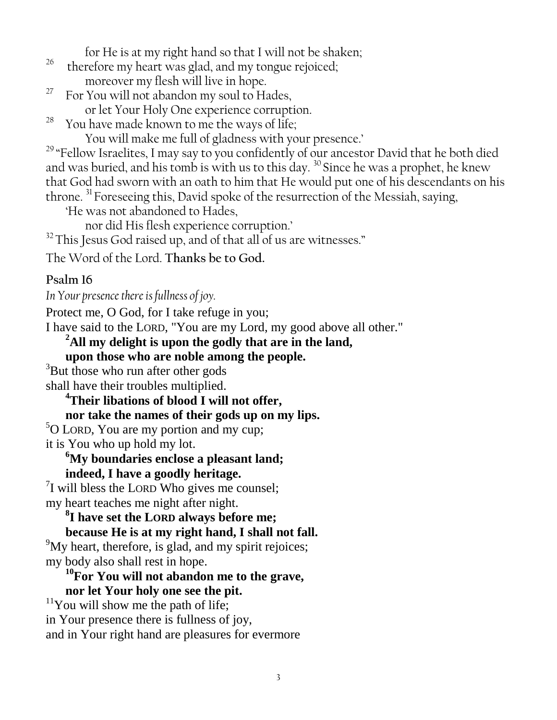for He is at my right hand so that I will not be shaken;

- <sup>26</sup> therefore my heart was glad, and my tongue rejoiced; moreover my flesh will live in hope.
- <sup>27</sup> For You will not abandon my soul to Hades, or let Your Holy One experience corruption.

<sup>28</sup> You have made known to me the ways of life;

You will make me full of gladness with your presence.'

<sup>29</sup> "Fellow Israelites, I may say to you confidently of our ancestor David that he both died and was buried, and his tomb is with us to this day. <sup>30</sup> Since he was a prophet, he knew that God had sworn with an oath to him that He would put one of his descendants on his throne. <sup>31</sup> Foreseeing this, David spoke of the resurrection of the Messiah, saying,

'He was not abandoned to Hades,

nor did His flesh experience corruption.'

 $32$  This Jesus God raised up, and of that all of us are witnesses."

The Word of the Lord. **Thanks be to God.**

## **Psalm 16**

*In Your presence there is fullness of joy.*

Protect me, O God, for I take refuge in you;

I have said to the LORD, "You are my Lord, my good above all other."

**<sup>2</sup>All my delight is upon the godly that are in the land,**

**upon those who are noble among the people.**

<sup>3</sup>But those who run after other gods shall have their troubles multiplied.

> **<sup>4</sup>Their libations of blood I will not offer, nor take the names of their gods up on my lips.**

<sup>5</sup>O LORD, You are my portion and my cup; it is You who up hold my lot.

#### **<sup>6</sup>My boundaries enclose a pleasant land; indeed, I have a goodly heritage.**

<sup>7</sup>I will bless the LORD Who gives me counsel; my heart teaches me night after night.

**8 I have set the LORD always before me;**

**because He is at my right hand, I shall not fall.** 

<sup>9</sup>My heart, therefore, is glad, and my spirit rejoices; my body also shall rest in hope.

#### **<sup>10</sup>For You will not abandon me to the grave, nor let Your holy one see the pit.**

 $11$ You will show me the path of life; in Your presence there is fullness of joy, and in Your right hand are pleasures for evermore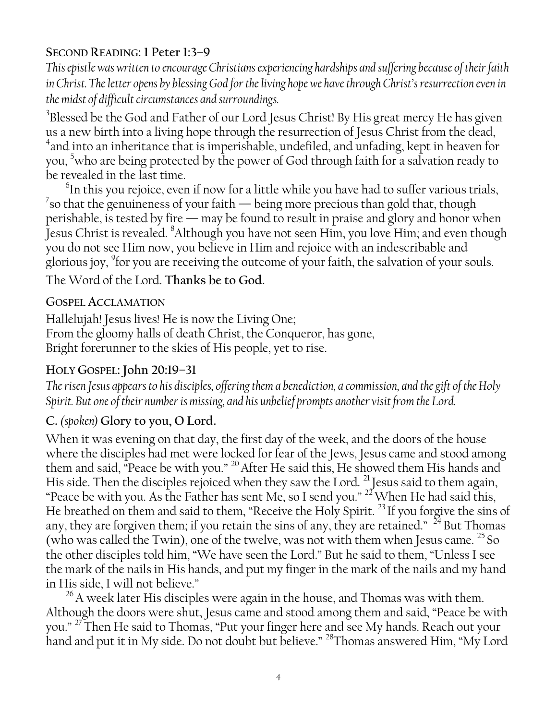## **SECOND READING: 1 Peter 1:3–9**

*This epistle was written to encourage Christians experiencing hardships and suffering because of their faith in Christ. The letter opens by blessing God for the living hope we have through Christ's resurrection even in the midst of difficult circumstances and surroundings.*

 $^3$ Blessed be the God and Father of our Lord Jesus Christ! By His great mercy He has given us a new birth into a living hope through the resurrection of Jesus Christ from the dead, 4 and into an inheritance that is imperishable, undefiled, and unfading, kept in heaven for you, <sup>5</sup>who are being protected by the power of God through faith for a salvation ready to be revealed in the last time.

 $^6$ In this you rejoice, even if now for a little while you have had to suffer various trials,  $^7$ so that the genuineness of your faith — being more precious than gold that, though perishable, is tested by fire — may be found to result in praise and glory and honor when Jesus Christ is revealed. <sup>8</sup>Although you have not seen Him, you love Him; and even though you do not see Him now, you believe in Him and rejoice with an indescribable and glorious joy,  $^{9}$ for you are receiving the outcome of your faith, the salvation of your souls. The Word of the Lord. **Thanks be to God.**

**GOSPEL ACCLAMATION**

Hallelujah! Jesus lives! He is now the Living One; From the gloomy halls of death Christ, the Conqueror, has gone, Bright forerunner to the skies of His people, yet to rise.

## **HOLY GOSPEL: John 20:19–31**

*The risen Jesus appears to his disciples, offering them a benediction, a commission, and the gift of the Holy Spirit. But one of their number is missing, and his unbelief prompts another visit from the Lord.*

## **C.** *(spoken)* **Glory to you, O Lord.**

When it was evening on that day, the first day of the week, and the doors of the house where the disciples had met were locked for fear of the Jews, Jesus came and stood among them and said, "Peace be with you." <sup>20</sup> After He said this, He showed them His hands and His side. Then the disciples rejoiced when they saw the Lord.  $^{21}$  Jesus said to them again, "Peace be with you. As the Father has sent Me, so I send you."  $^{22}$  When He had said this, He breathed on them and said to them, "Receive the Holy Spirit.<sup>23</sup> If you forgive the sins of any, they are forgiven them; if you retain the sins of any, they are retained."  $^{24}$  But Thomas (who was called the Twin), one of the twelve, was not with them when Jesus came. <sup>25</sup> So the other disciples told him, "We have seen the Lord." But he said to them, "Unless I see the mark of the nails in His hands, and put my finger in the mark of the nails and my hand in His side, I will not believe."

<sup>26</sup> A week later His disciples were again in the house, and Thomas was with them. Although the doors were shut, Jesus came and stood among them and said, "Peace be with you." <sup>27</sup>Then He said to Thomas, "Put your finger here and see My hands. Reach out your hand and put it in My side. Do not doubt but believe." <sup>28</sup>Thomas answered Him, "My Lord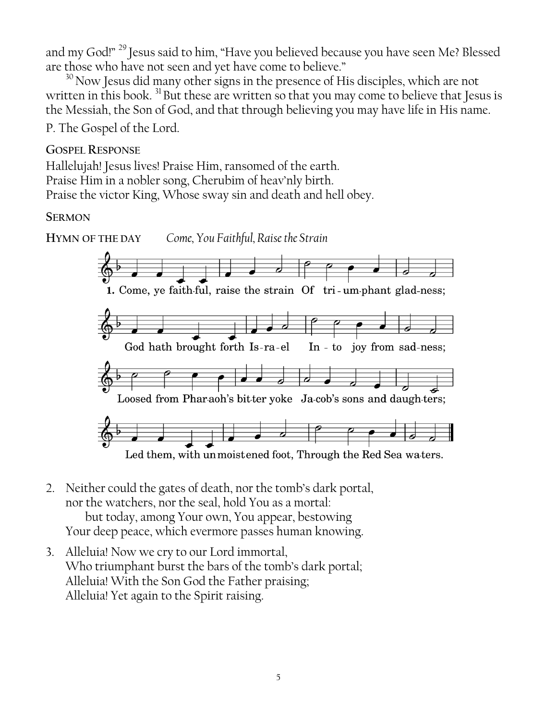and my God!" <sup>29</sup> Jesus said to him, "Have you believed because you have seen Me? Blessed are those who have not seen and yet have come to believe."

 $30$  Now Jesus did many other signs in the presence of His disciples, which are not written in this book.<sup>31</sup>But these are written so that you may come to believe that Jesus is the Messiah, the Son of God, and that through believing you may have life in His name.

P. The Gospel of the Lord.

#### **GOSPEL RESPONSE**

Hallelujah! Jesus lives! Praise Him, ransomed of the earth. Praise Him in a nobler song, Cherubim of heav'nly birth. Praise the victor King, Whose sway sin and death and hell obey.

#### **SERMON**



Led them, with un moistened foot, Through the Red Sea waters.

- 2. Neither could the gates of death, nor the tomb's dark portal, nor the watchers, nor the seal, hold You as a mortal: but today, among Your own, You appear, bestowing Your deep peace, which evermore passes human knowing.
- 3. Alleluia! Now we cry to our Lord immortal, Who triumphant burst the bars of the tomb's dark portal; Alleluia! With the Son God the Father praising; Alleluia! Yet again to the Spirit raising.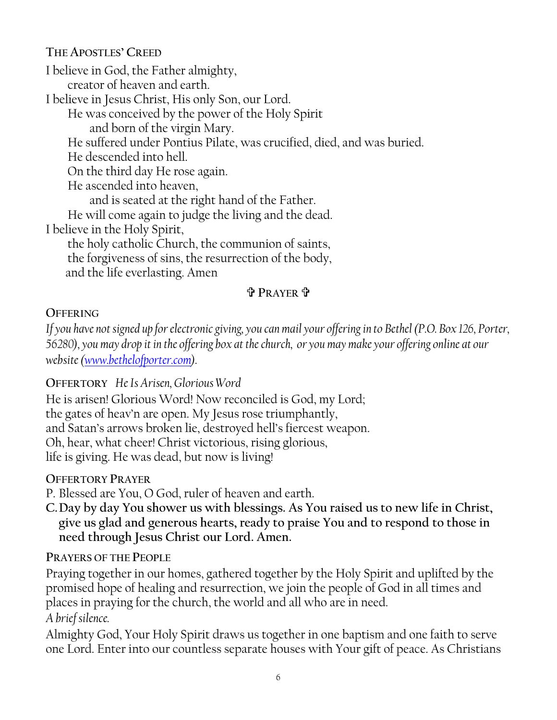## **THE APOSTLES' CREED**

I believe in God, the Father almighty, creator of heaven and earth. I believe in Jesus Christ, His only Son, our Lord. He was conceived by the power of the Holy Spirit and born of the virgin Mary. He suffered under Pontius Pilate, was crucified, died, and was buried. He descended into hell. On the third day He rose again. He ascended into heaven, and is seated at the right hand of the Father. He will come again to judge the living and the dead. I believe in the Holy Spirit, the holy catholic Church, the communion of saints, the forgiveness of sins, the resurrection of the body, and the life everlasting. Amen

## **PRAYER**

#### **OFFERING**

*If you have not signed up for electronic giving, you can mail your offering in to Bethel (P.O. Box 126, Porter, 56280), you may drop it in the offering box at the church, or you may make your offering online at our website [\(www.bethelofporter.com\)](http://www.bethelofporter.com/).* 

#### **OFFERTORY** *He Is Arisen, Glorious Word*

He is arisen! Glorious Word! Now reconciled is God, my Lord; the gates of heav'n are open. My Jesus rose triumphantly, and Satan's arrows broken lie, destroyed hell's fiercest weapon. Oh, hear, what cheer! Christ victorious, rising glorious, life is giving. He was dead, but now is living!

#### **OFFERTORY PRAYER**

P. Blessed are You, O God, ruler of heaven and earth.

**C.Day by day You shower us with blessings. As You raised us to new life in Christ, give us glad and generous hearts, ready to praise You and to respond to those in need through Jesus Christ our Lord. Amen.**

## **PRAYERS OF THE PEOPLE**

Praying together in our homes, gathered together by the Holy Spirit and uplifted by the promised hope of healing and resurrection, we join the people of God in all times and places in praying for the church, the world and all who are in need. *A brief silence.*

Almighty God, Your Holy Spirit draws us together in one baptism and one faith to serve one Lord. Enter into our countless separate houses with Your gift of peace. As Christians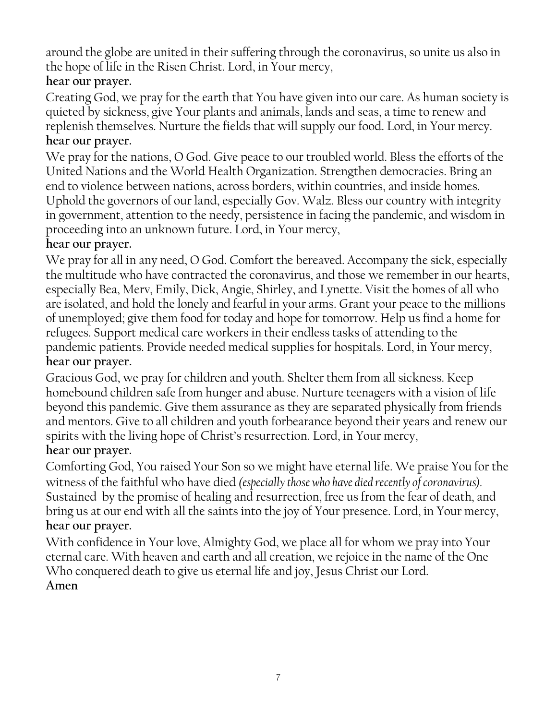around the globe are united in their suffering through the coronavirus, so unite us also in the hope of life in the Risen Christ. Lord, in Your mercy, **hear our prayer.**

Creating God, we pray for the earth that You have given into our care. As human society is quieted by sickness, give Your plants and animals, lands and seas, a time to renew and replenish themselves. Nurture the fields that will supply our food. Lord, in Your mercy. **hear our prayer.**

We pray for the nations, O God. Give peace to our troubled world. Bless the efforts of the United Nations and the World Health Organization. Strengthen democracies. Bring an end to violence between nations, across borders, within countries, and inside homes. Uphold the governors of our land, especially Gov. Walz. Bless our country with integrity in government, attention to the needy, persistence in facing the pandemic, and wisdom in proceeding into an unknown future. Lord, in Your mercy,

## **hear our prayer.**

We pray for all in any need, O God. Comfort the bereaved. Accompany the sick, especially the multitude who have contracted the coronavirus, and those we remember in our hearts, especially Bea, Merv, Emily, Dick, Angie, Shirley, and Lynette. Visit the homes of all who are isolated, and hold the lonely and fearful in your arms. Grant your peace to the millions of unemployed; give them food for today and hope for tomorrow. Help us find a home for refugees. Support medical care workers in their endless tasks of attending to the pandemic patients. Provide needed medical supplies for hospitals. Lord, in Your mercy, **hear our prayer.**

Gracious God, we pray for children and youth. Shelter them from all sickness. Keep homebound children safe from hunger and abuse. Nurture teenagers with a vision of life beyond this pandemic. Give them assurance as they are separated physically from friends and mentors. Give to all children and youth forbearance beyond their years and renew our spirits with the living hope of Christ's resurrection. Lord, in Your mercy, **hear our prayer.**

Comforting God, You raised Your Son so we might have eternal life. We praise You for the witness of the faithful who have died *(especially those who have died recently of coronavirus).* Sustained by the promise of healing and resurrection, free us from the fear of death, and bring us at our end with all the saints into the joy of Your presence. Lord, in Your mercy, **hear our prayer.**

With confidence in Your love, Almighty God, we place all for whom we pray into Your eternal care. With heaven and earth and all creation, we rejoice in the name of the One Who conquered death to give us eternal life and joy, Jesus Christ our Lord. **Amen**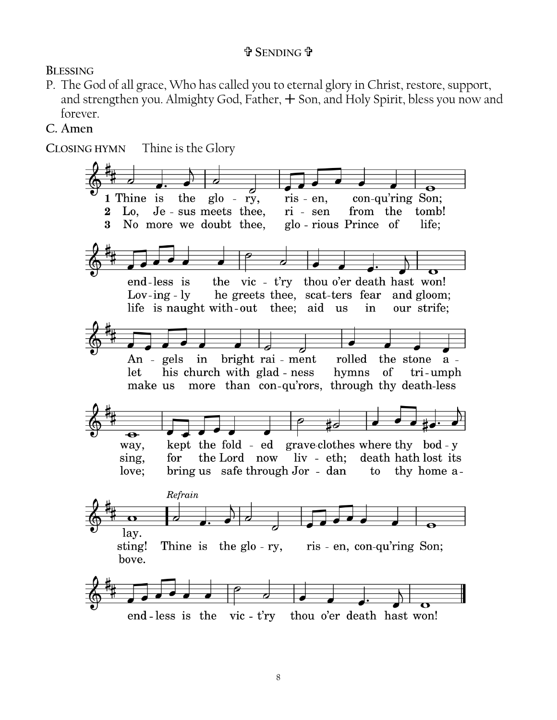## **SENDING**

**BLESSING**

P. The God of all grace, Who has called you to eternal glory in Christ, restore, support, and strengthen you. Almighty God, Father,  $+$  Son, and Holy Spirit, bless you now and forever.

#### **C. Amen** .

Thine is the Glory CLOSING HYMN